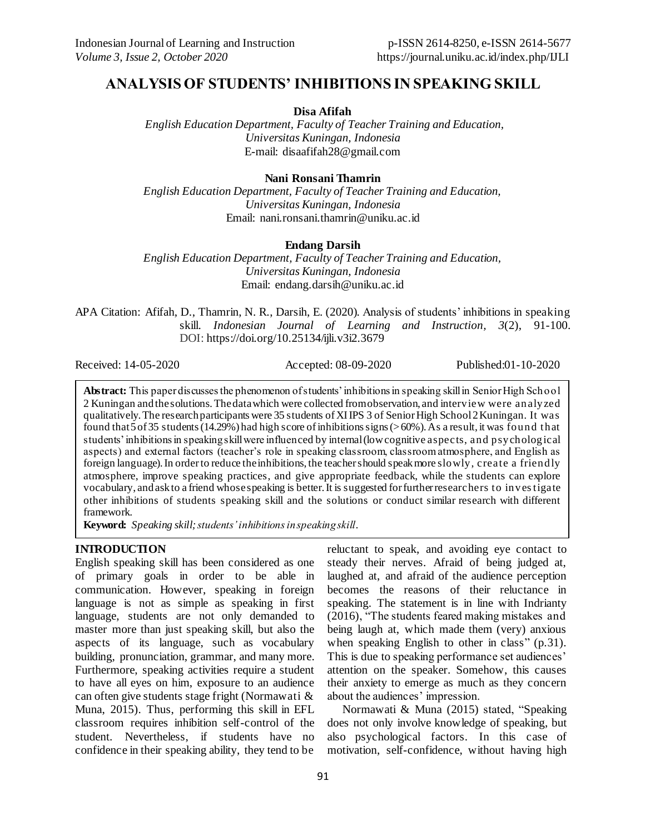# **ANALYSIS OF STUDENTS' INHIBITIONS IN SPEAKING SKILL**

**Disa Afifah**

*English Education Department, Faculty of Teacher Training and Education, Universitas Kuningan, Indonesia*  E-mail: [disaafifah28@gmail.com](mailto:disaafifah28@gmail.com)

# **Nani Ronsani Thamrin**

*English Education Department, Faculty of Teacher Training and Education, Universitas Kuningan, Indonesia* Email: [nani.ronsani.thamrin@uniku.ac.id](mailto:nani.ronsani.thamrin@uniku.ac.id)

# **Endang Darsih**

*English Education Department, Faculty of Teacher Training and Education, Universitas Kuningan, Indonesia* Email: [endang.darsih@uniku.ac.id](mailto:endang.darsih@uniku.ac.id)

APA Citation: Afifah, D., Thamrin, N. R., Darsih, E. (2020). Analysis of students' inhibitions in speaking skill. *Indonesian Journal of Learning and Instruction, 3*(2), 91-100. DOI: <https://doi.org/10.25134/ijli.v3i2.3679>

Received: 14-05-2020 Accepted: 08-09-2020 Published:01-10-2020

**Abstract:** This paper discusses the phenomenon of students' inhibitions in speaking skill in Senior High School 2 Kuningan and the solutions. The data which were collected from observation, and interview were analyzed qualitatively. The research participants were 35 students of XI IPS 3 of Senior High School 2 Kuningan. It was found that  $5$  of 35 students (14.29%) had high score of inhibitions signs ( $>60\%$ ). As a result, it was found that students' inhibitions in speaking skill were influenced by internal (low cognitive aspects, and psychological aspects) and external factors (teacher's role in speaking classroom, classroom atmosphere, and English as foreign language). In order to reduce the inhibitions, the teacher should speak more slowly, create a friendly atmosphere, improve speaking practices, and give appropriate feedback, while the students can explore vocabulary, and ask to a friend whose speaking is better. It is suggested for further researchers to investigate other inhibitions of students speaking skill and the solutions or conduct similar research with different framework.

**Keyword:** *Speaking skill;students' inhibitions in speaking skill.*

# **INTRODUCTION**

English speaking skill has been considered as one of primary goals in order to be able in communication. However, speaking in foreign language is not as simple as speaking in first language, students are not only demanded to master more than just speaking skill, but also the aspects of its language, such as vocabulary building, pronunciation, grammar, and many more. Furthermore, speaking activities require a student to have all eyes on him, exposure to an audience can often give students stage fright (Normawati & Muna, 2015). Thus, performing this skill in EFL classroom requires inhibition self-control of the student. Nevertheless, if students have no confidence in their speaking ability, they tend to be

reluctant to speak, and avoiding eye contact to steady their nerves. Afraid of being judged at, laughed at, and afraid of the audience perception becomes the reasons of their reluctance in speaking. The statement is in line with Indrianty (2016), "The students feared making mistakes and being laugh at, which made them (very) anxious when speaking English to other in class" (p.31). This is due to speaking performance set audiences' attention on the speaker. Somehow, this causes their anxiety to emerge as much as they concern about the audiences' impression.

Normawati & Muna (2015) stated, "Speaking does not only involve knowledge of speaking, but also psychological factors. In this case of motivation, self-confidence, without having high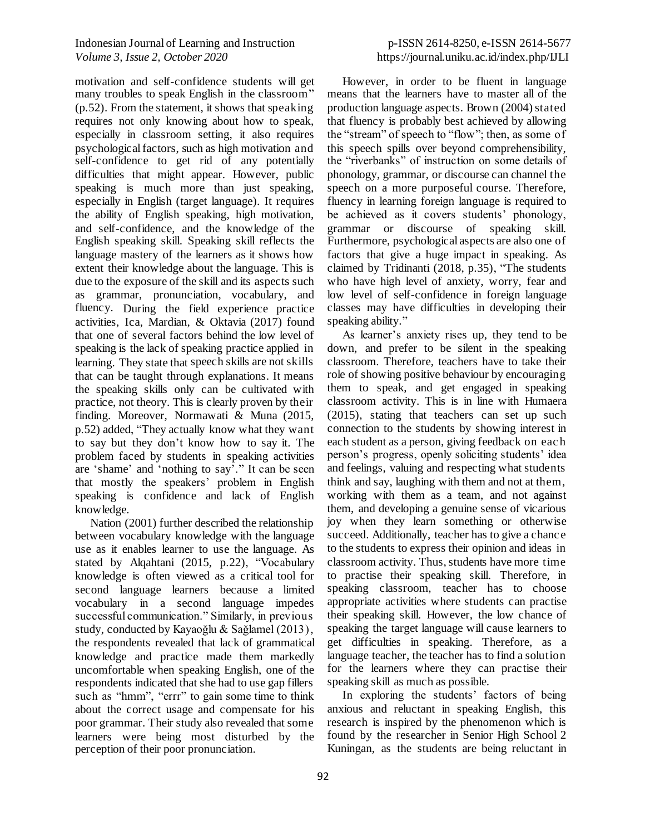motivation and self-confidence students will get many troubles to speak English in the classroom" (p.52). From the statement, it shows that speaking requires not only knowing about how to speak, especially in classroom setting, it also requires psychological factors, such as high motivation and self-confidence to get rid of any potentially difficulties that might appear. However, public speaking is much more than just speaking, especially in English (target language). It requires the ability of English speaking, high motivation, and self-confidence, and the knowledge of the English speaking skill. Speaking skill reflects the language mastery of the learners as it shows how extent their knowledge about the language. This is due to the exposure of the skill and its aspects such as grammar, pronunciation, vocabulary, and fluency. During the field experience practice activities, Ica, Mardian, & Oktavia (2017) found that one of several factors behind the low level of speaking is the lack of speaking practice applied in learning. They state that speech skills are not skills that can be taught through explanations. It means the speaking skills only can be cultivated with practice, not theory. This is clearly proven by their finding. Moreover, Normawati & Muna (2015, p.52) added, "They actually know what they want to say but they don't know how to say it. The problem faced by students in speaking activities are 'shame' and 'nothing to say'." It can be seen that mostly the speakers' problem in English speaking is confidence and lack of English knowledge.

Nation (2001) further described the relationship between vocabulary knowledge with the language use as it enables learner to use the language. As stated by Alqahtani (2015, p.22), "Vocabulary knowledge is often viewed as a critical tool for second language learners because a limited vocabulary in a second language impedes successful communication." Similarly, in previous study, conducted by Kayaoğlu & Sağlamel (2013), the respondents revealed that lack of grammatical knowledge and practice made them markedly uncomfortable when speaking English, one of the respondents indicated that she had to use gap fillers such as "hmm", "errr" to gain some time to think about the correct usage and compensate for his poor grammar. Their study also revealed that some learners were being most disturbed by the perception of their poor pronunciation.

However, in order to be fluent in language means that the learners have to master all of the production language aspects. Brown (2004) stated that fluency is probably best achieved by allowing the "stream" of speech to "flow"; then, as some of this speech spills over beyond comprehensibility, the "riverbanks" of instruction on some details of phonology, grammar, or discourse can channel the speech on a more purposeful course. Therefore, fluency in learning foreign language is required to be achieved as it covers students' phonology, grammar or discourse of speaking skill. Furthermore, psychological aspects are also one of factors that give a huge impact in speaking. As claimed by Tridinanti (2018, p.35), "The students who have high level of anxiety, worry, fear and low level of self-confidence in foreign language classes may have difficulties in developing their speaking ability."

As learner's anxiety rises up, they tend to be down, and prefer to be silent in the speaking classroom. Therefore, teachers have to take their role of showing positive behaviour by encouraging them to speak, and get engaged in speaking classroom activity. This is in line with Humaera (2015), stating that teachers can set up such connection to the students by showing interest in each student as a person, giving feedback on eac h person's progress, openly soliciting students' idea and feelings, valuing and respecting what students think and say, laughing with them and not at them, working with them as a team, and not against them, and developing a genuine sense of vicarious joy when they learn something or otherwise succeed. Additionally, teacher has to give a chanc e to the students to express their opinion and ideas in classroom activity. Thus, students have more time to practise their speaking skill. Therefore, in speaking classroom, teacher has to choose appropriate activities where students can practise their speaking skill. However, the low chance of speaking the target language will cause learners to get difficulties in speaking. Therefore, as a language teacher, the teacher has to find a solution for the learners where they can practise their speaking skill as much as possible.

In exploring the students' factors of being anxious and reluctant in speaking English, this research is inspired by the phenomenon which is found by the researcher in Senior High School 2 Kuningan, as the students are being reluctant in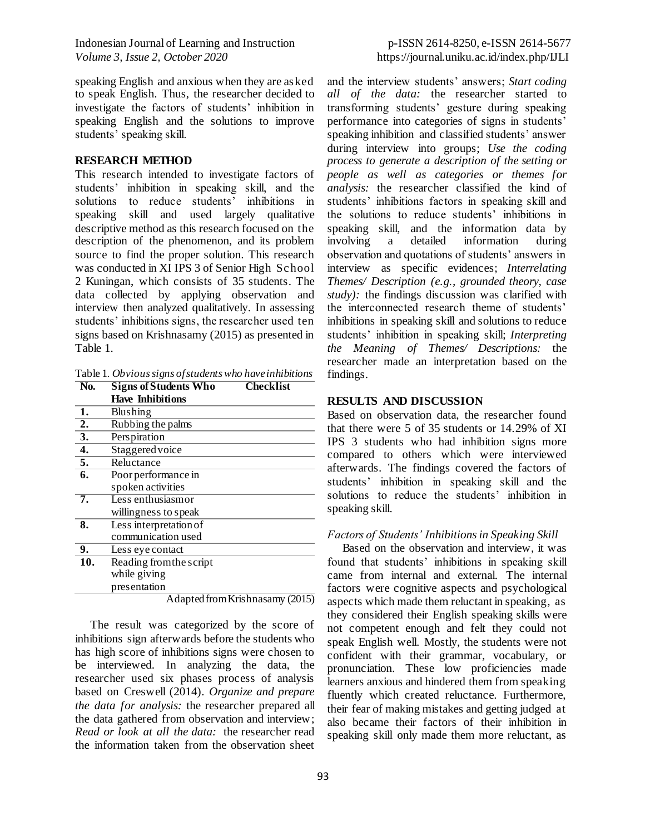speaking English and anxious when they are asked to speak English. Thus, the researcher decided to investigate the factors of students' inhibition in speaking English and the solutions to improve students' speaking skill.

#### **RESEARCH METHOD**

This research intended to investigate factors of students' inhibition in speaking skill, and the solutions to reduce students' inhibitions in speaking skill and used largely qualitative descriptive method as this research focused on the description of the phenomenon, and its problem source to find the proper solution. This research was conducted in XI IPS 3 of Senior High Sc hool 2 Kuningan, which consists of 35 students. The data collected by applying observation and interview then analyzed qualitatively. In assessing students' inhibitions signs, the researcher used ten signs based on Krishnasamy (2015) as presented in Table 1.

Table 1. *Obvious signs of students who have inhibitions*

| No.              | <b>Checklist</b><br><b>Signs of Students Who</b> |
|------------------|--------------------------------------------------|
|                  | <b>Have Inhibitions</b>                          |
| 1.               | <b>Blushing</b>                                  |
| $\overline{2}$ . | Rubbing the palms                                |
| $\overline{3}$ . | Perspiration                                     |
| $\overline{4.}$  | Staggered voice                                  |
| $\overline{5}$ . | Reluctance                                       |
| $\overline{6}$ . | Poor performance in                              |
|                  | spoken activities                                |
| 7.               | Less enthusiasmor                                |
|                  | willingness to speak                             |
| 8.               | Less interpretation of                           |
|                  | communication used                               |
| 9.               | Less eye contact                                 |
| 10.              | Reading from the script                          |
|                  | while giving                                     |
|                  | presentation                                     |
|                  | Adapted from Krishnasamy (2015)                  |

The result was categorized by the score of inhibitions sign afterwards before the students who has high score of inhibitions signs were chosen to be interviewed. In analyzing the data, the researcher used six phases process of analysis based on Creswell (2014). *Organize and prepare the data for analysis:* the researcher prepared all the data gathered from observation and interview; *Read or look at all the data:* the researcher read the information taken from the observation sheet and the interview students' answers; *Start coding all of the data:* the researcher started to transforming students' gesture during speaking performance into categories of signs in students' speaking inhibition and classified students' answer during interview into groups; *Use the coding process to generate a description of the setting or people as well as categories or themes for analysis:* the researcher classified the kind of students' inhibitions factors in speaking skill and the solutions to reduce students' inhibitions in speaking skill, and the information data by involving a detailed information during observation and quotations of students' answers in interview as specific evidences; *Interrelating Themes/ Description (e.g., grounded theory, case study):* the findings discussion was clarified with the interconnected research theme of students' inhibitions in speaking skill and solutions to reduce students' inhibition in speaking skill; *Interpreting the Meaning of Themes/ Descriptions:* the researcher made an interpretation based on the findings.

### **RESULTS AND DISCUSSION**

Based on observation data, the researcher found that there were 5 of 35 students or 14.29% of XI IPS 3 students who had inhibition signs more compared to others which were interviewed afterwards. The findings covered the factors of students' inhibition in speaking skill and the solutions to reduce the students' inhibition in speaking skill.

### *Factors of Students' Inhibitions in Speaking Skill*

Based on the observation and interview, it was found that students' inhibitions in speaking skill came from internal and external. The internal factors were cognitive aspects and psychological aspects which made them reluctant in speaking, as they considered their English speaking skills were not competent enough and felt they could not speak English well. Mostly, the students were not confident with their grammar, vocabulary, or pronunciation. These low proficiencies made learners anxious and hindered them from speaking fluently which created reluctance. Furthermore, their fear of making mistakes and getting judged at also became their factors of their inhibition in speaking skill only made them more reluctant, as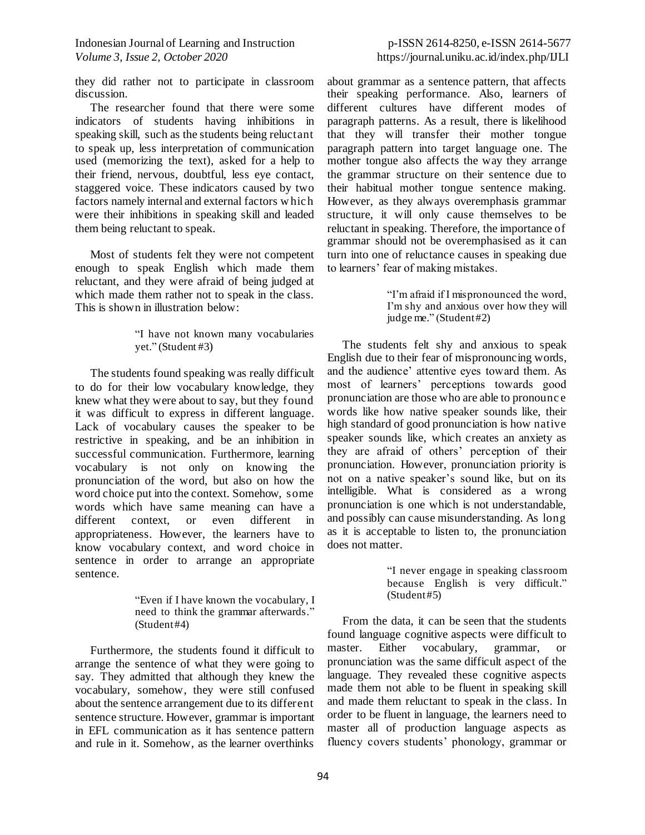they did rather not to participate in classroom discussion.

The researcher found that there were some indicators of students having inhibitions in speaking skill, such as the students being reluctant to speak up, less interpretation of communication used (memorizing the text), asked for a help to their friend, nervous, doubtful, less eye contact, staggered voice. These indicators caused by two factors namely internal and external factors w hic h were their inhibitions in speaking skill and leaded them being reluctant to speak.

Most of students felt they were not competent enough to speak English which made them reluctant, and they were afraid of being judged at which made them rather not to speak in the class. This is shown in illustration below:

> "I have not known many vocabularies yet." (Student #3)

The students found speaking was really difficult to do for their low vocabulary knowledge, they knew what they were about to say, but they found it was difficult to express in different language. Lack of vocabulary causes the speaker to be restrictive in speaking, and be an inhibition in successful communication. Furthermore, learning vocabulary is not only on knowing the pronunciation of the word, but also on how the word choice put into the context. Somehow, some words which have same meaning can have a different context, or even different in appropriateness. However, the learners have to know vocabulary context, and word choice in sentence in order to arrange an appropriate sentence.

> "Even if I have known the vocabulary, I need to think the grammar afterwards." (Student #4)

Furthermore, the students found it difficult to arrange the sentence of what they were going to say. They admitted that although they knew the vocabulary, somehow, they were still confused about the sentence arrangement due to its different sentence structure. However, grammar is important in EFL communication as it has sentence pattern and rule in it. Somehow, as the learner overthinks

about grammar as a sentence pattern, that affects their speaking performance. Also, learners of different cultures have different modes of paragraph patterns. As a result, there is likelihood that they will transfer their mother tongue paragraph pattern into target language one. The mother tongue also affects the way they arrange the grammar structure on their sentence due to their habitual mother tongue sentence making. However, as they always overemphasis grammar structure, it will only cause themselves to be reluctant in speaking. Therefore, the importance of grammar should not be overemphasised as it can turn into one of reluctance causes in speaking due to learners' fear of making mistakes.

> "I'm afraid if I mispronounced the word, I'm shy and anxious over how they will judge me." (Student #2)

The students felt shy and anxious to speak English due to their fear of mispronouncing words, and the audience' attentive eyes toward them. As most of learners' perceptions towards good pronunciation are those who are able to pronounc e words like how native speaker sounds like, their high standard of good pronunciation is how native speaker sounds like, which creates an anxiety as they are afraid of others' perception of their pronunciation. However, pronunciation priority is not on a native speaker's sound like, but on its intelligible. What is considered as a wrong pronunciation is one which is not understandable, and possibly can cause misunderstanding. As long as it is acceptable to listen to, the pronunciation does not matter.

> "I never engage in speaking classroom because English is very difficult." (Student #5)

From the data, it can be seen that the students found language cognitive aspects were difficult to master. Either vocabulary, grammar, or pronunciation was the same difficult aspect of the language. They revealed these cognitive aspects made them not able to be fluent in speaking skill and made them reluctant to speak in the class. In order to be fluent in language, the learners need to master all of production language aspects as fluency covers students' phonology, grammar or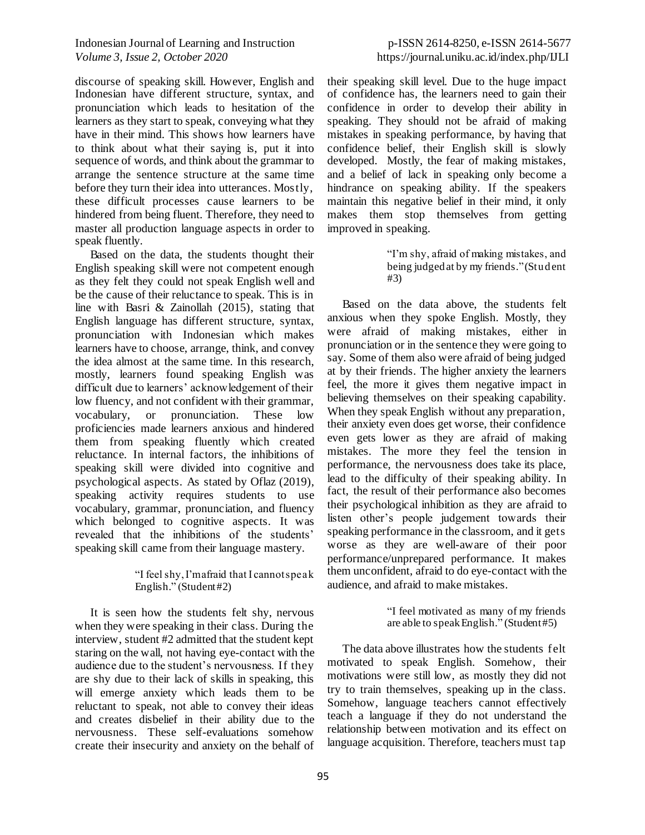discourse of speaking skill. However, English and Indonesian have different structure, syntax, and pronunciation which leads to hesitation of the learners as they start to speak, conveying what they have in their mind. This shows how learners have to think about what their saying is, put it into sequence of words, and think about the grammar to arrange the sentence structure at the same time before they turn their idea into utterances. Mostly, these difficult processes cause learners to be hindered from being fluent. Therefore, they need to master all production language aspects in order to speak fluently.

Based on the data, the students thought their English speaking skill were not competent enough as they felt they could not speak English well and be the cause of their reluctance to speak. This is in line with Basri & Zainollah (2015), stating that English language has different structure, syntax, pronunciation with Indonesian which makes learners have to choose, arrange, think, and convey the idea almost at the same time. In this research, mostly, learners found speaking English was difficult due to learners' acknowledgement of their low fluency, and not confident with their grammar, vocabulary, or pronunciation. These low proficiencies made learners anxious and hindered them from speaking fluently which created reluctance. In internal factors, the inhibitions of speaking skill were divided into cognitive and psychological aspects. As stated by Oflaz (2019), speaking activity requires students to use vocabulary, grammar, pronunciation, and fluency which belonged to cognitive aspects. It was revealed that the inhibitions of the students' speaking skill came from their language mastery.

### "I feel shy, I'm afraid that I cannot speak English." (Student #2)

It is seen how the students felt shy, nervous when they were speaking in their class. During the interview, student #2 admitted that the student kept staring on the wall, not having eye-contact with the audience due to the student's nervousness. If they are shy due to their lack of skills in speaking, this will emerge anxiety which leads them to be reluctant to speak, not able to convey their ideas and creates disbelief in their ability due to the nervousness. These self-evaluations somehow create their insecurity and anxiety on the behalf of their speaking skill level. Due to the huge impact of confidence has, the learners need to gain their confidence in order to develop their ability in speaking. They should not be afraid of making mistakes in speaking performance, by having that confidence belief, their English skill is slowly developed. Mostly, the fear of making mistakes, and a belief of lack in speaking only become a hindrance on speaking ability. If the speakers maintain this negative belief in their mind, it only makes them stop themselves from getting improved in speaking.

> "I'm shy, afraid of making mistakes, and being judged at by my friends." (Student #3)

Based on the data above, the students felt anxious when they spoke English. Mostly, they were afraid of making mistakes, either in pronunciation or in the sentence they were going to say. Some of them also were afraid of being judged at by their friends. The higher anxiety the learners feel, the more it gives them negative impact in believing themselves on their speaking capability. When they speak English without any preparation, their anxiety even does get worse, their confidence even gets lower as they are afraid of making mistakes. The more they feel the tension in performance, the nervousness does take its place, lead to the difficulty of their speaking ability. In fact, the result of their performance also becomes their psychological inhibition as they are afraid to listen other's people judgement towards their speaking performance in the classroom, and it gets worse as they are well-aware of their poor performance/unprepared performance. It makes them unconfident, afraid to do eye-contact with the audience, and afraid to make mistakes.

> "I feel motivated as many of my friends are able to speak English." (Student #5)

The data above illustrates how the students felt motivated to speak English. Somehow, their motivations were still low, as mostly they did not try to train themselves, speaking up in the class. Somehow, language teachers cannot effectively teach a language if they do not understand the relationship between motivation and its effect on language acquisition. Therefore, teachers must tap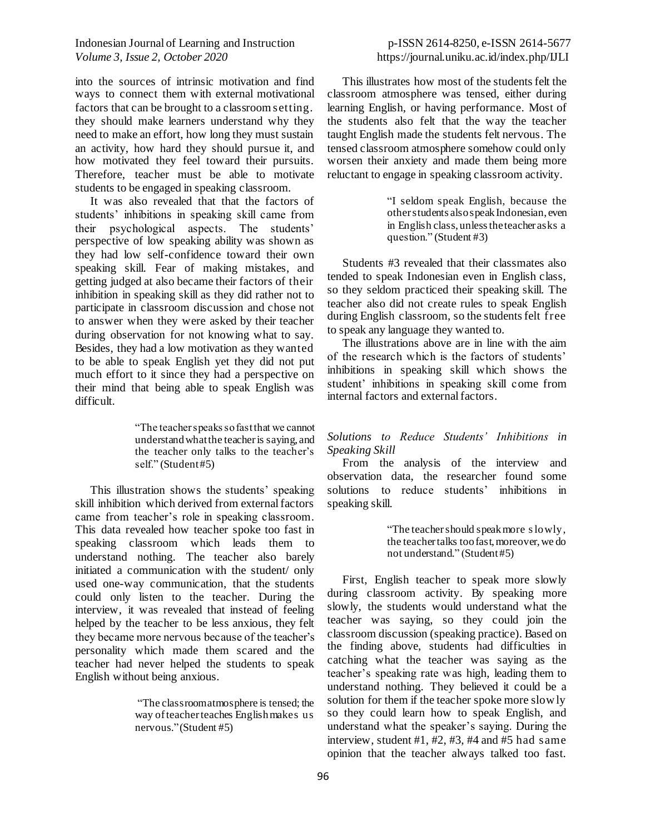into the sources of intrinsic motivation and find ways to connect them with external motivational factors that can be brought to a classroom setting. they should make learners understand why they need to make an effort, how long they must sustain an activity, how hard they should pursue it, and how motivated they feel toward their pursuits. Therefore, teacher must be able to motivate students to be engaged in speaking classroom.

It was also revealed that that the factors of students' inhibitions in speaking skill came from their psychological aspects. The students' perspective of low speaking ability was shown as they had low self-confidence toward their own speaking skill. Fear of making mistakes, and getting judged at also became their factors of their inhibition in speaking skill as they did rather not to participate in classroom discussion and chose not to answer when they were asked by their teacher during observation for not knowing what to say. Besides, they had a low motivation as they wanted to be able to speak English yet they did not put much effort to it since they had a perspective on their mind that being able to speak English was difficult.

> "The teacher speaks so fast that we cannot understand what the teacher is saying, and the teacher only talks to the teacher's self." (Student #5)

This illustration shows the students' speaking skill inhibition which derived from external factors came from teacher's role in speaking classroom. This data revealed how teacher spoke too fast in speaking classroom which leads them to understand nothing. The teacher also barely initiated a communication with the student/ only used one-way communication, that the students could only listen to the teacher. During the interview, it was revealed that instead of feeling helped by the teacher to be less anxious, they felt they became more nervous because of the teacher's personality which made them scared and the teacher had never helped the students to speak English without being anxious.

> "The classroom atmosphere is tensed; the way of teacher teaches English makes us nervous." (Student #5)

This illustrates how most of the students felt the classroom atmosphere was tensed, either during learning English, or having performance. Most of the students also felt that the way the teacher taught English made the students felt nervous. The tensed classroom atmosphere somehow could only worsen their anxiety and made them being more reluctant to engage in speaking classroom activity.

> "I seldom speak English, because the other students also speak Indonesian, even in English class, unless the teacher asks a question." (Student #3)

Students #3 revealed that their classmates also tended to speak Indonesian even in English class, so they seldom practiced their speaking skill. The teacher also did not create rules to speak English during English classroom, so the students felt free to speak any language they wanted to.

The illustrations above are in line with the aim of the research which is the factors of students' inhibitions in speaking skill which shows the student' inhibitions in speaking skill come from internal factors and external factors.

### *Solutions to Reduce Students' Inhibitions in Speaking Skill*

From the analysis of the interview and observation data, the researcher found some solutions to reduce students' inhibitions in speaking skill.

> "The teacher should speak more s lowly, the teacher talks too fast, moreover, we do not understand." (Student #5)

First, English teacher to speak more slowly during classroom activity. By speaking more slowly, the students would understand what the teacher was saying, so they could join the classroom discussion (speaking practice). Based on the finding above, students had difficulties in catching what the teacher was saying as the teacher's speaking rate was high, leading them to understand nothing. They believed it could be a solution for them if the teacher spoke more slow ly so they could learn how to speak English, and understand what the speaker's saying. During the interview, student #1, #2, #3, #4 and #5 had same opinion that the teacher always talked too fast.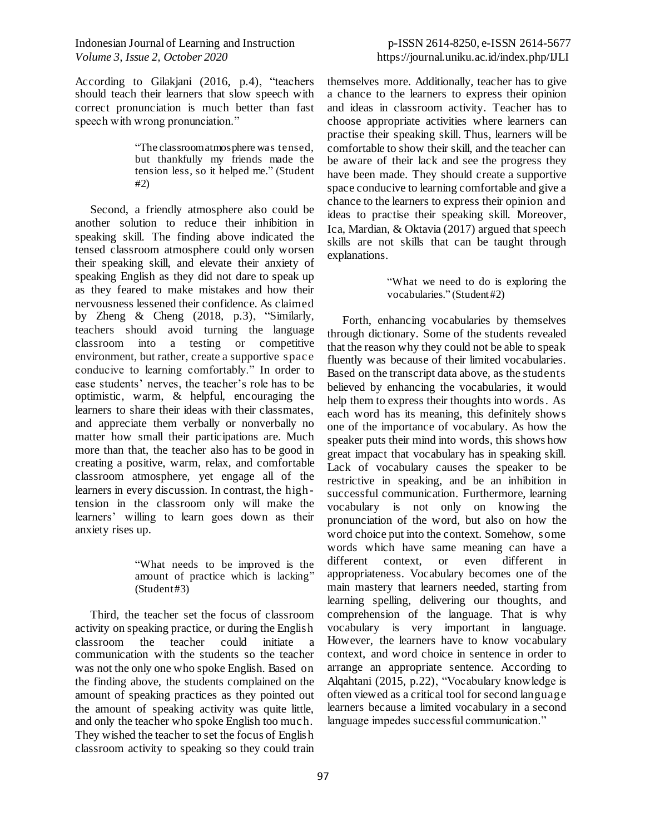According to Gilakjani (2016, p.4), "teachers should teach their learners that slow speech with correct pronunciation is much better than fast speech with wrong pronunciation."

> "The classroom atmosphere was tensed, but thankfully my friends made the tension less, so it helped me." (Student #2)

Second, a friendly atmosphere also could be another solution to reduce their inhibition in speaking skill. The finding above indicated the tensed classroom atmosphere could only worsen their speaking skill, and elevate their anxiety of speaking English as they did not dare to speak up as they feared to make mistakes and how their nervousness lessened their confidence. As claimed by Zheng & Cheng (2018, p.3), "Similarly, teachers should avoid turning the language classroom into a testing or competitive environment, but rather, create a supportive spac e conducive to learning comfortably." In order to ease students' nerves, the teacher's role has to be optimistic, warm, & helpful, encouraging the learners to share their ideas with their classmates, and appreciate them verbally or nonverbally no matter how small their participations are. Much more than that, the teacher also has to be good in creating a positive, warm, relax, and comfortable classroom atmosphere, yet engage all of the learners in every discussion. In contrast, the hightension in the classroom only will make the learners' willing to learn goes down as their anxiety rises up.

> "What needs to be improved is the amount of practice which is lacking"  $(Student #3)$

Third, the teacher set the focus of classroom activity on speaking practice, or during the English classroom the teacher could initiate a communication with the students so the teacher was not the only one who spoke English. Based on the finding above, the students complained on the amount of speaking practices as they pointed out the amount of speaking activity was quite little, and only the teacher who spoke English too muc h. They wished the teacher to set the focus of English classroom activity to speaking so they could train themselves more. Additionally, teacher has to give a chance to the learners to express their opinion and ideas in classroom activity. Teacher has to choose appropriate activities where learners can practise their speaking skill. Thus, learners will be comfortable to show their skill, and the teacher can be aware of their lack and see the progress they have been made. They should create a supportive space conducive to learning comfortable and give a chance to the learners to express their opinion and ideas to practise their speaking skill. Moreover, Ica, Mardian, & Oktavia (2017) argued that speech skills are not skills that can be taught through explanations.

> "What we need to do is exploring the vocabularies." (Student #2)

Forth, enhancing vocabularies by themselves through dictionary. Some of the students revealed that the reason why they could not be able to speak fluently was because of their limited vocabularies. Based on the transcript data above, as the students believed by enhancing the vocabularies, it would help them to express their thoughts into words. As each word has its meaning, this definitely shows one of the importance of vocabulary. As how the speaker puts their mind into words, this shows how great impact that vocabulary has in speaking skill. Lack of vocabulary causes the speaker to be restrictive in speaking, and be an inhibition in successful communication. Furthermore, learning vocabulary is not only on knowing the pronunciation of the word, but also on how the word choice put into the context. Somehow, some words which have same meaning can have a different context, or even different in appropriateness. Vocabulary becomes one of the main mastery that learners needed, starting from learning spelling, delivering our thoughts, and comprehension of the language. That is why vocabulary is very important in language. However, the learners have to know vocabulary context, and word choice in sentence in order to arrange an appropriate sentence. According to Alqahtani (2015, p.22), "Vocabulary knowledge is often viewed as a critical tool for second language learners because a limited vocabulary in a second language impedes successful communication."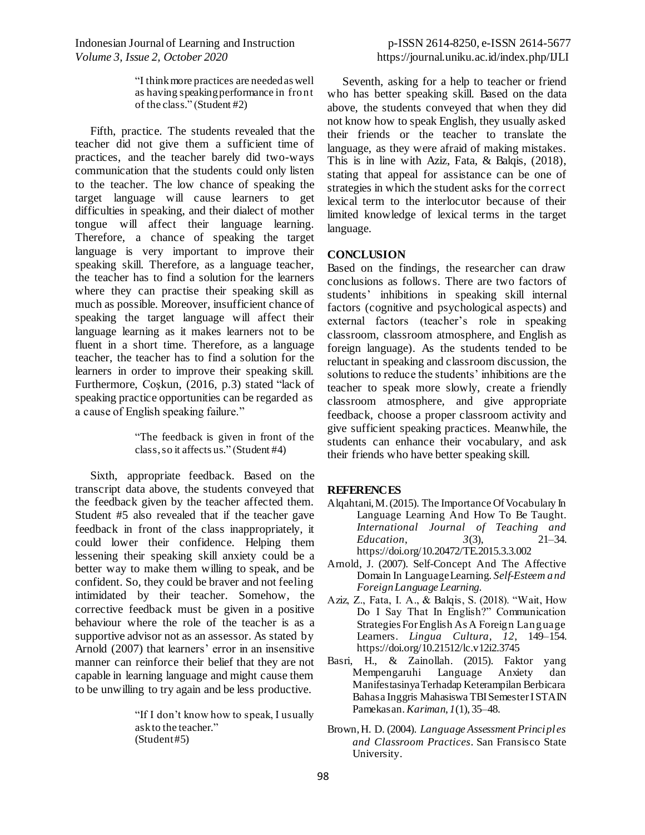> "I think more practices are needed as well as having speaking performance in front of the class." (Student #2)

Fifth, practice. The students revealed that the teacher did not give them a sufficient time of practices, and the teacher barely did two-ways communication that the students could only listen to the teacher. The low chance of speaking the target language will cause learners to get difficulties in speaking, and their dialect of mother tongue will affect their language learning. Therefore, a chance of speaking the target language is very important to improve their speaking skill. Therefore, as a language teacher, the teacher has to find a solution for the learners where they can practise their speaking skill as much as possible. Moreover, insufficient chance of speaking the target language will affect their language learning as it makes learners not to be fluent in a short time. Therefore, as a language teacher, the teacher has to find a solution for the learners in order to improve their speaking skill. Furthermore, Coşkun, (2016, p.3) stated "lack of speaking practice opportunities can be regarded as a cause of English speaking failure."

> "The feedback is given in front of the class, so it affects us." (Student #4)

Sixth, appropriate feedback. Based on the transcript data above, the students conveyed that the feedback given by the teacher affected them. Student #5 also revealed that if the teacher gave feedback in front of the class inappropriately, it could lower their confidence. Helping them lessening their speaking skill anxiety could be a better way to make them willing to speak, and be confident. So, they could be braver and not feeling intimidated by their teacher. Somehow, the corrective feedback must be given in a positive behaviour where the role of the teacher is as a supportive advisor not as an assessor. As stated by Arnold (2007) that learners' error in an insensitive manner can reinforce their belief that they are not capable in learning language and might cause them to be unwilling to try again and be less productive.

> "If I don't know how to speak, I usually ask to the teacher." (Student #5)

Seventh, asking for a help to teacher or friend who has better speaking skill. Based on the data above, the students conveyed that when they did not know how to speak English, they usually asked their friends or the teacher to translate the language, as they were afraid of making mistakes. This is in line with Aziz, Fata, & Balqis, (2018), stating that appeal for assistance can be one of strategies in which the student asks for the correct lexical term to the interlocutor because of their limited knowledge of lexical terms in the target language.

### **CONCLUSION**

Based on the findings, the researcher can draw conclusions as follows. There are two factors of students' inhibitions in speaking skill internal factors (cognitive and psychological aspects) and external factors (teacher's role in speaking classroom, classroom atmosphere, and English as foreign language). As the students tended to be reluctant in speaking and classroom discussion, the solutions to reduce the students' inhibitions are the teacher to speak more slowly, create a friendly classroom atmosphere, and give appropriate feedback, choose a proper classroom activity and give sufficient speaking practices. Meanwhile, the students can enhance their vocabulary, and ask their friends who have better speaking skill.

#### **REFERENCES**

- Alqahtani, M. (2015). The Importance Of Vocabulary In Language Learning And How To Be Taught. *International Journal of Teaching and Education*, *3*(3), 21–34. https://doi.org/10.20472/TE.2015.3.3.002
- Arnold, J. (2007). Self-Concept And The Affective Domain In Language Learning. *Self-Esteem and Foreign Language Learning*.
- Aziz, Z., Fata, I. A., & Balqis, S. (2018). "Wait, How Do I Say That In English?" Communication Strategies For English As A Foreign Language Learners. *Lingua Cultura*, *12*, 149–154. https://doi.org/10.21512/lc.v12i2.3745
- Basri, H., & Zainollah. (2015). Faktor yang Mempengaruhi Language Anxiety dan Manifestasinya Terhadap Keterampilan Berbicara Bahasa Inggris Mahasiswa TBI Semester I STAIN Pamekasan. *Kariman*, *1*(1), 35–48.
- Brown, H. D. (2004). *Language Assessment Principles and Classroom Practices*. San Fransisco State University.